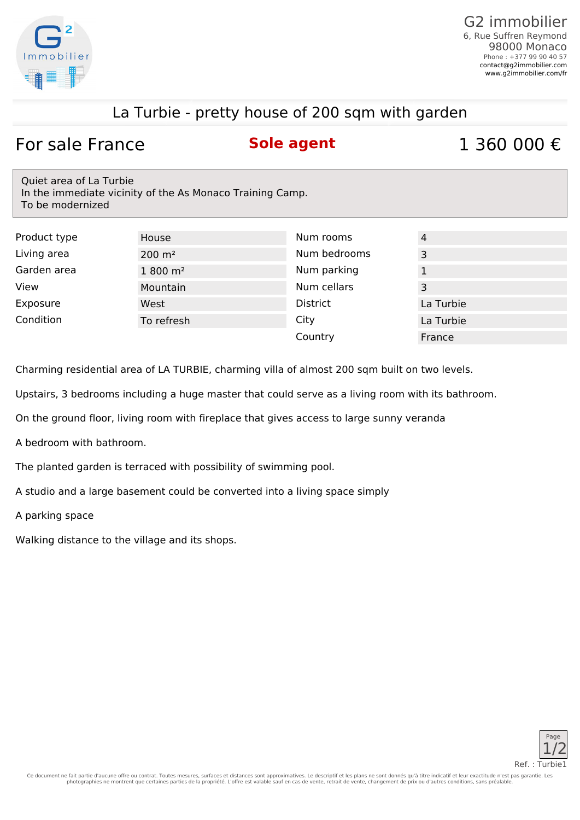

## La Turbie - pretty house of 200 sqm with garden

## For sale France **Sole agent** 1 360 000 €

Quiet area of La Turbie In the immediate vicinity of the As Monaco Training Camp. To be modernized

| Product type | House                | Num rooms       | 4         |
|--------------|----------------------|-----------------|-----------|
| Living area  | $200 \text{ m}^2$    | Num bedrooms    | 3         |
| Garden area  | $1800 \; \text{m}^2$ | Num parking     |           |
| View         | Mountain             | Num cellars     | 3         |
| Exposure     | West                 | <b>District</b> | La Turbie |
| Condition    | To refresh           | City            | La Turbie |
|              |                      | Country         | France    |

Charming residential area of LA TURBIE, charming villa of almost 200 sqm built on two levels.

Upstairs, 3 bedrooms including a huge master that could serve as a living room with its bathroom.

On the ground floor, living room with fireplace that gives access to large sunny veranda

A bedroom with bathroom.

The planted garden is terraced with possibility of swimming pool.

A studio and a large basement could be converted into a living space simply

A parking space

Walking distance to the village and its shops.